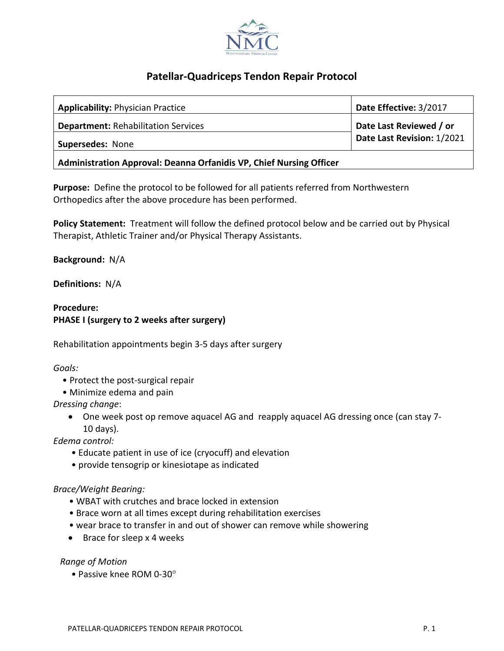

# **Patellar-Quadriceps Tendon Repair Protocol**

| <b>Applicability: Physician Practice</b>                            | Date Effective: 3/2017     |
|---------------------------------------------------------------------|----------------------------|
| <b>Department: Rehabilitation Services</b>                          | Date Last Reviewed / or    |
| Supersedes: None                                                    | Date Last Revision: 1/2021 |
| Administration Approval: Deanna Orfanidis VP, Chief Nursing Officer |                            |

**Purpose:** Define the protocol to be followed for all patients referred from Northwestern Orthopedics after the above procedure has been performed.

**Policy Statement:** Treatment will follow the defined protocol below and be carried out by Physical Therapist, Athletic Trainer and/or Physical Therapy Assistants.

**Background:** N/A

**Definitions:** N/A

### **Procedure: PHASE I (surgery to 2 weeks after surgery)**

Rehabilitation appointments begin 3-5 days after surgery

*Goals:*

- Protect the post-surgical repair
- Minimize edema and pain

*Dressing change*:

• One week post op remove aquacel AG and reapply aquacel AG dressing once (can stay 7- 10 days).

*Edema control:*

- Educate patient in use of ice (cryocuff) and elevation
- provide tensogrip or kinesiotape as indicated

### *Brace/Weight Bearing:*

- WBAT with crutches and brace locked in extension
- Brace worn at all times except during rehabilitation exercises
- wear brace to transfer in and out of shower can remove while showering
- Brace for sleep x 4 weeks

### *Range of Motion*

• Passive knee ROM 0-30°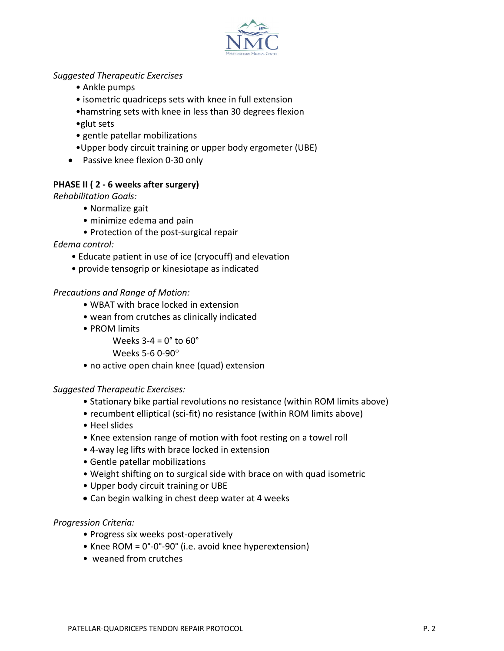

# *Suggested Therapeutic Exercises*

- Ankle pumps
- isometric quadriceps sets with knee in full extension
- •hamstring sets with knee in less than 30 degrees flexion
- •glut sets
- gentle patellar mobilizations
- •Upper body circuit training or upper body ergometer (UBE)
- Passive knee flexion 0-30 only

# **PHASE II ( 2 - 6 weeks after surgery)**

*Rehabilitation Goals:*

- Normalize gait
- minimize edema and pain
- Protection of the post-surgical repair

*Edema control:*

- Educate patient in use of ice (cryocuff) and elevation
- provide tensogrip or kinesiotape as indicated

# *Precautions and Range of Motion:*

- WBAT with brace locked in extension
- wean from crutches as clinically indicated
- PROM limits

Weeks  $3-4 = 0^\circ$  to  $60^\circ$ 

Weeks 5-6 0-90°

• no active open chain knee (quad) extension

# *Suggested Therapeutic Exercises:*

- Stationary bike partial revolutions no resistance (within ROM limits above)
- recumbent elliptical (sci-fit) no resistance (within ROM limits above)
- Heel slides
- Knee extension range of motion with foot resting on a towel roll
- 4-way leg lifts with brace locked in extension
- Gentle patellar mobilizations
- Weight shifting on to surgical side with brace on with quad isometric
- Upper body circuit training or UBE
- Can begin walking in chest deep water at 4 weeks

# *Progression Criteria:*

- Progress six weeks post-operatively
- Knee ROM = 0°-0°-90° (i.e. avoid knee hyperextension)
- weaned from crutches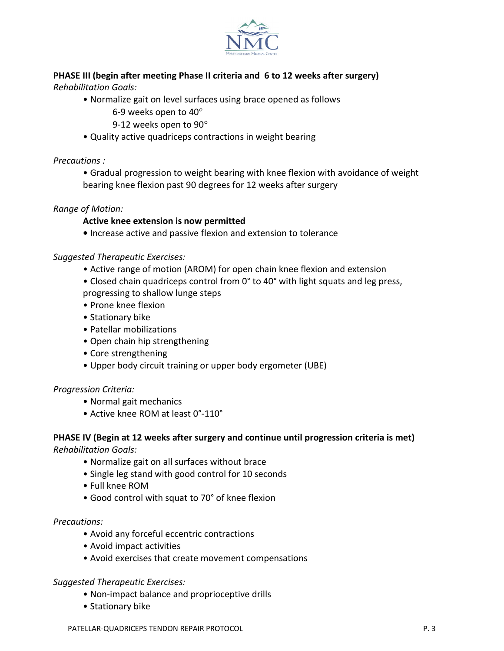

# **PHASE III (begin after meeting Phase II criteria and 6 to 12 weeks after surgery)**

*Rehabilitation Goals:*

- Normalize gait on level surfaces using brace opened as follows
	- 6-9 weeks open to 40°
	- 9-12 weeks open to 90°
- Quality active quadriceps contractions in weight bearing

*Precautions :*

• Gradual progression to weight bearing with knee flexion with avoidance of weight bearing knee flexion past 90 degrees for 12 weeks after surgery

### *Range of Motion:*

### **Active knee extension is now permitted**

**•** Increase active and passive flexion and extension to tolerance

### *Suggested Therapeutic Exercises:*

- Active range of motion (AROM) for open chain knee flexion and extension
- Closed chain quadriceps control from 0° to 40° with light squats and leg press, progressing to shallow lunge steps
- Prone knee flexion
- Stationary bike
- Patellar mobilizations
- Open chain hip strengthening
- Core strengthening
- Upper body circuit training or upper body ergometer (UBE)

### *Progression Criteria:*

- Normal gait mechanics
- Active knee ROM at least 0°-110°

### **PHASE IV (Begin at 12 weeks after surgery and continue until progression criteria is met)**

*Rehabilitation Goals:*

- Normalize gait on all surfaces without brace
- Single leg stand with good control for 10 seconds
- Full knee ROM
- Good control with squat to 70° of knee flexion

### *Precautions:*

- Avoid any forceful eccentric contractions
- Avoid impact activities
- Avoid exercises that create movement compensations

### *Suggested Therapeutic Exercises:*

- Non-impact balance and proprioceptive drills
- Stationary bike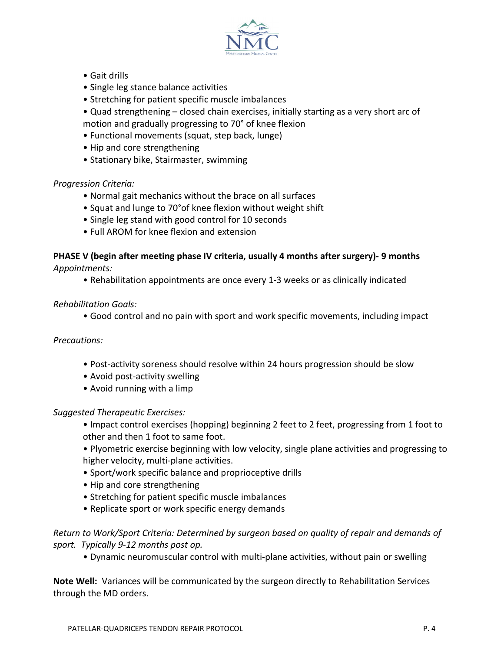

- Gait drills
- Single leg stance balance activities
- Stretching for patient specific muscle imbalances
- Quad strengthening closed chain exercises, initially starting as a very short arc of motion and gradually progressing to 70° of knee flexion
- Functional movements (squat, step back, lunge)
- Hip and core strengthening
- Stationary bike, Stairmaster, swimming

### *Progression Criteria:*

- Normal gait mechanics without the brace on all surfaces
- Squat and lunge to 70°of knee flexion without weight shift
- Single leg stand with good control for 10 seconds
- Full AROM for knee flexion and extension

## **PHASE V (begin after meeting phase IV criteria, usually 4 months after surgery)- 9 months** *Appointments:*

• Rehabilitation appointments are once every 1-3 weeks or as clinically indicated

### *Rehabilitation Goals:*

• Good control and no pain with sport and work specific movements, including impact

### *Precautions:*

- Post-activity soreness should resolve within 24 hours progression should be slow
- Avoid post-activity swelling
- Avoid running with a limp

### *Suggested Therapeutic Exercises:*

- Impact control exercises (hopping) beginning 2 feet to 2 feet, progressing from 1 foot to other and then 1 foot to same foot.
- Plyometric exercise beginning with low velocity, single plane activities and progressing to higher velocity, multi-plane activities.
- Sport/work specific balance and proprioceptive drills
- Hip and core strengthening
- Stretching for patient specific muscle imbalances
- Replicate sport or work specific energy demands

### *Return to Work/Sport Criteria: Determined by surgeon based on quality of repair and demands of sport. Typically 9-12 months post op.*

• Dynamic neuromuscular control with multi-plane activities, without pain or swelling

**Note Well:** Variances will be communicated by the surgeon directly to Rehabilitation Services through the MD orders.